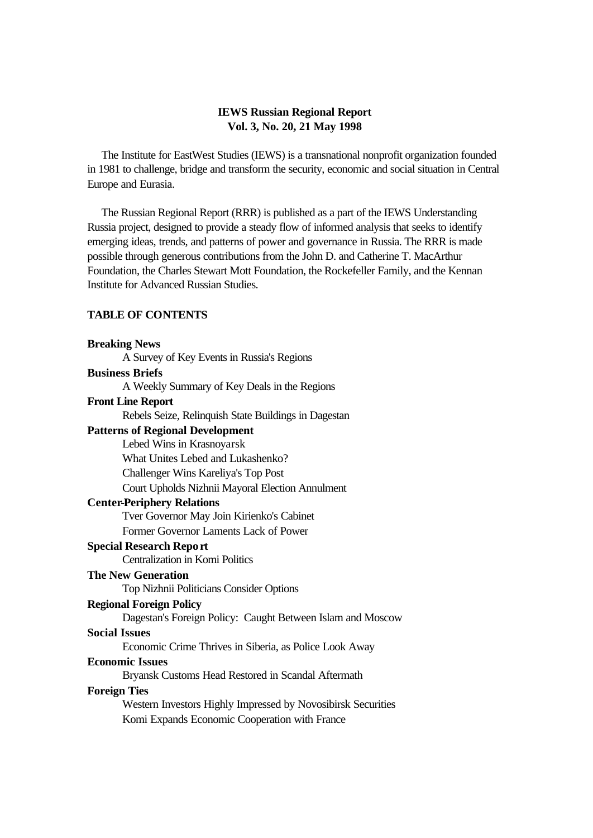### **IEWS Russian Regional Report Vol. 3, No. 20, 21 May 1998**

 The Institute for EastWest Studies (IEWS) is a transnational nonprofit organization founded in 1981 to challenge, bridge and transform the security, economic and social situation in Central Europe and Eurasia.

 The Russian Regional Report (RRR) is published as a part of the IEWS Understanding Russia project, designed to provide a steady flow of informed analysis that seeks to identify emerging ideas, trends, and patterns of power and governance in Russia. The RRR is made possible through generous contributions from the John D. and Catherine T. MacArthur Foundation, the Charles Stewart Mott Foundation, the Rockefeller Family, and the Kennan Institute for Advanced Russian Studies.

# **TABLE OF CONTENTS**

# **Breaking News** A Survey of Key Events in Russia's Regions **Business Briefs** A Weekly Summary of Key Deals in the Regions **Front Line Report** Rebels Seize, Relinquish State Buildings in Dagestan **Patterns of Regional Development** Lebed Wins in Krasnoyarsk What Unites Lebed and Lukashenko? Challenger Wins Kareliya's Top Post Court Upholds Nizhnii Mayoral Election Annulment **Center-Periphery Relations** Tver Governor May Join Kirienko's Cabinet Former Governor Laments Lack of Power **Special Research Repo rt** Centralization in Komi Politics **The New Generation** Top Nizhnii Politicians Consider Options **Regional Foreign Policy** Dagestan's Foreign Policy: Caught Between Islam and Moscow **Social Issues** Economic Crime Thrives in Siberia, as Police Look Away **Economic Issues** Bryansk Customs Head Restored in Scandal Aftermath **Foreign Ties** Western Investors Highly Impressed by Novosibirsk Securities Komi Expands Economic Cooperation with France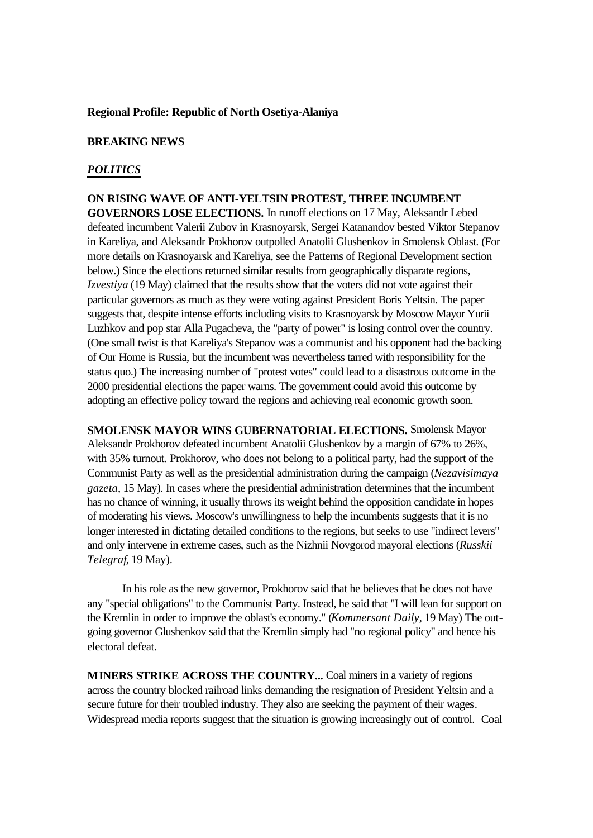#### **Regional Profile: Republic of North Osetiya-Alaniya**

#### **BREAKING NEWS**

### *POLITICS*

**ON RISING WAVE OF ANTI-YELTSIN PROTEST, THREE INCUMBENT GOVERNORS LOSE ELECTIONS.** In runoff elections on 17 May, Aleksandr Lebed defeated incumbent Valerii Zubov in Krasnoyarsk, Sergei Katanandov bested Viktor Stepanov in Kareliya, and Aleksandr Prokhorov outpolled Anatolii Glushenkov in Smolensk Oblast. (For more details on Krasnoyarsk and Kareliya, see the Patterns of Regional Development section below.) Since the elections returned similar results from geographically disparate regions, *Izvestiya* (19 May) claimed that the results show that the voters did not vote against their particular governors as much as they were voting against President Boris Yeltsin. The paper suggests that, despite intense efforts including visits to Krasnoyarsk by Moscow Mayor Yurii Luzhkov and pop star Alla Pugacheva, the "party of power" is losing control over the country. (One small twist is that Kareliya's Stepanov was a communist and his opponent had the backing of Our Home is Russia, but the incumbent was nevertheless tarred with responsibility for the status quo.) The increasing number of "protest votes" could lead to a disastrous outcome in the 2000 presidential elections the paper warns. The government could avoid this outcome by adopting an effective policy toward the regions and achieving real economic growth soon.

**SMOLENSK MAYOR WINS GUBERNATORIAL ELECTIONS.** Smolensk Mayor Aleksandr Prokhorov defeated incumbent Anatolii Glushenkov by a margin of 67% to 26%, with 35% turnout. Prokhorov, who does not belong to a political party, had the support of the Communist Party as well as the presidential administration during the campaign (*Nezavisimaya gazeta*, 15 May). In cases where the presidential administration determines that the incumbent has no chance of winning, it usually throws its weight behind the opposition candidate in hopes of moderating his views. Moscow's unwillingness to help the incumbents suggests that it is no longer interested in dictating detailed conditions to the regions, but seeks to use "indirect levers" and only intervene in extreme cases, such as the Nizhnii Novgorod mayoral elections (*Russkii Telegraf*, 19 May).

In his role as the new governor, Prokhorov said that he believes that he does not have any "special obligations" to the Communist Party. Instead, he said that "I will lean for support on the Kremlin in order to improve the oblast's economy." (*Kommersant Daily*, 19 May) The outgoing governor Glushenkov said that the Kremlin simply had "no regional policy" and hence his electoral defeat.

**MINERS STRIKE ACROSS THE COUNTRY...** Coal miners in a variety of regions across the country blocked railroad links demanding the resignation of President Yeltsin and a secure future for their troubled industry. They also are seeking the payment of their wages. Widespread media reports suggest that the situation is growing increasingly out of control. Coal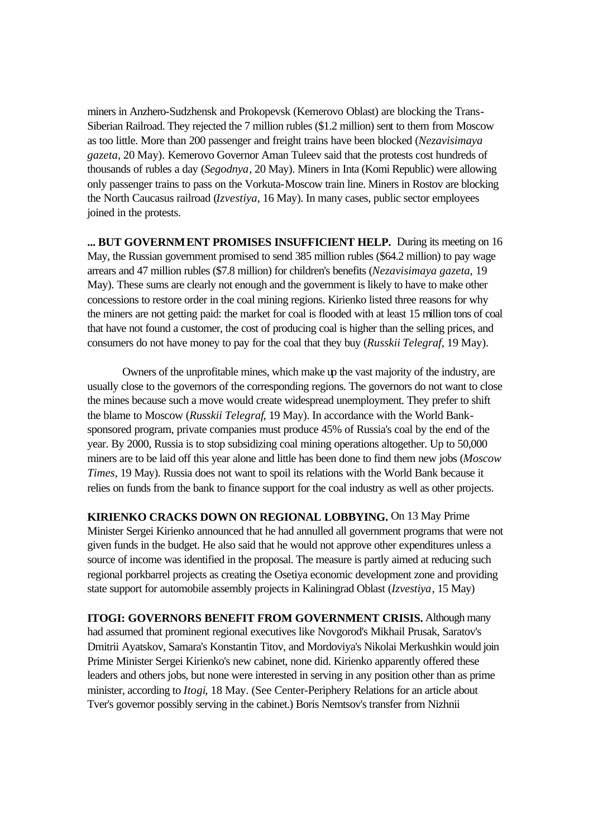miners in Anzhero-Sudzhensk and Prokopevsk (Kemerovo Oblast) are blocking the Trans-Siberian Railroad. They rejected the 7 million rubles (\$1.2 million) sent to them from Moscow as too little. More than 200 passenger and freight trains have been blocked (*Nezavisimaya gazeta*, 20 May). Kemerovo Governor Aman Tuleev said that the protests cost hundreds of thousands of rubles a day (*Segodnya*, 20 May). Miners in Inta (Komi Republic) were allowing only passenger trains to pass on the Vorkuta-Moscow train line. Miners in Rostov are blocking the North Caucasus railroad (*Izvestiya*, 16 May). In many cases, public sector employees joined in the protests.

**... BUT GOVERNMENT PROMISES INSUFFICIENT HELP.** During its meeting on 16 May, the Russian government promised to send 385 million rubles (\$64.2 million) to pay wage arrears and 47 million rubles (\$7.8 million) for children's benefits (*Nezavisimaya gazeta*, 19 May). These sums are clearly not enough and the government is likely to have to make other concessions to restore order in the coal mining regions. Kirienko listed three reasons for why the miners are not getting paid: the market for coal is flooded with at least 15 million tons of coal that have not found a customer, the cost of producing coal is higher than the selling prices, and consumers do not have money to pay for the coal that they buy (*Russkii Telegraf*, 19 May).

Owners of the unprofitable mines, which make up the vast majority of the industry, are usually close to the governors of the corresponding regions. The governors do not want to close the mines because such a move would create widespread unemployment. They prefer to shift the blame to Moscow (*Russkii Telegraf*, 19 May). In accordance with the World Banksponsored program, private companies must produce 45% of Russia's coal by the end of the year. By 2000, Russia is to stop subsidizing coal mining operations altogether. Up to 50,000 miners are to be laid off this year alone and little has been done to find them new jobs (*Moscow Times*, 19 May). Russia does not want to spoil its relations with the World Bank because it relies on funds from the bank to finance support for the coal industry as well as other projects.

**KIRIENKO CRACKS DOWN ON REGIONAL LOBBYING.** On 13 May Prime Minister Sergei Kirienko announced that he had annulled all government programs that were not given funds in the budget. He also said that he would not approve other expenditures unless a source of income was identified in the proposal. The measure is partly aimed at reducing such regional porkbarrel projects as creating the Osetiya economic development zone and providing state support for automobile assembly projects in Kaliningrad Oblast (*Izvestiya*, 15 May)

**ITOGI: GOVERNORS BENEFIT FROM GOVERNMENT CRISIS.** Although many had assumed that prominent regional executives like Novgorod's Mikhail Prusak, Saratov's Dmitrii Ayatskov, Samara's Konstantin Titov, and Mordoviya's Nikolai Merkushkin would join Prime Minister Sergei Kirienko's new cabinet, none did. Kirienko apparently offered these leaders and others jobs, but none were interested in serving in any position other than as prime minister, according to *Itogi*, 18 May. (See Center-Periphery Relations for an article about Tver's governor possibly serving in the cabinet.) Boris Nemtsov's transfer from Nizhnii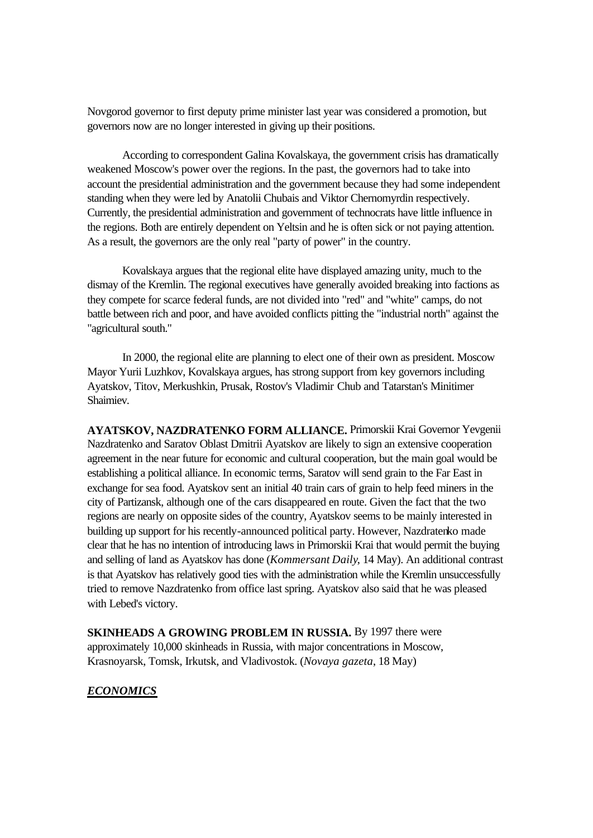Novgorod governor to first deputy prime minister last year was considered a promotion, but governors now are no longer interested in giving up their positions.

According to correspondent Galina Kovalskaya, the government crisis has dramatically weakened Moscow's power over the regions. In the past, the governors had to take into account the presidential administration and the government because they had some independent standing when they were led by Anatolii Chubais and Viktor Chernomyrdin respectively. Currently, the presidential administration and government of technocrats have little influence in the regions. Both are entirely dependent on Yeltsin and he is often sick or not paying attention. As a result, the governors are the only real "party of power" in the country.

Kovalskaya argues that the regional elite have displayed amazing unity, much to the dismay of the Kremlin. The regional executives have generally avoided breaking into factions as they compete for scarce federal funds, are not divided into "red" and "white" camps, do not battle between rich and poor, and have avoided conflicts pitting the "industrial north" against the "agricultural south."

In 2000, the regional elite are planning to elect one of their own as president. Moscow Mayor Yurii Luzhkov, Kovalskaya argues, has strong support from key governors including Ayatskov, Titov, Merkushkin, Prusak, Rostov's Vladimir Chub and Tatarstan's Minitimer Shaimiev.

**AYATSKOV, NAZDRATENKO FORM ALLIANCE.** Primorskii Krai Governor Yevgenii Nazdratenko and Saratov Oblast Dmitrii Ayatskov are likely to sign an extensive cooperation agreement in the near future for economic and cultural cooperation, but the main goal would be establishing a political alliance. In economic terms, Saratov will send grain to the Far East in exchange for sea food. Ayatskov sent an initial 40 train cars of grain to help feed miners in the city of Partizansk, although one of the cars disappeared en route. Given the fact that the two regions are nearly on opposite sides of the country, Ayatskov seems to be mainly interested in building up support for his recently-announced political party. However, Nazdratenko made clear that he has no intention of introducing laws in Primorskii Krai that would permit the buying and selling of land as Ayatskov has done (*Kommersant Daily*, 14 May). An additional contrast is that Ayatskov has relatively good ties with the administration while the Kremlin unsuccessfully tried to remove Nazdratenko from office last spring. Ayatskov also said that he was pleased with Lebed's victory.

**SKINHEADS A GROWING PROBLEM IN RUSSIA.** By 1997 there were approximately 10,000 skinheads in Russia, with major concentrations in Moscow, Krasnoyarsk, Tomsk, Irkutsk, and Vladivostok. (*Novaya gazeta*, 18 May)

### *ECONOMICS*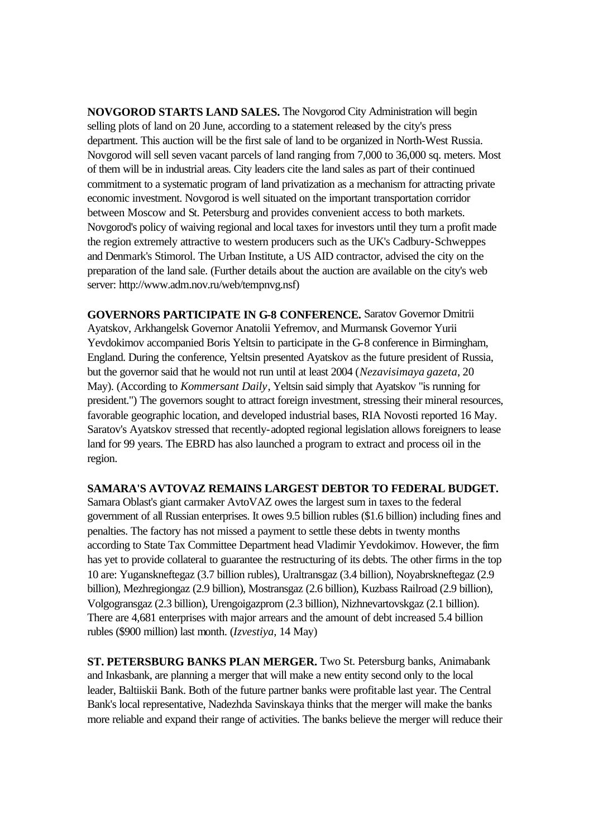**NOVGOROD STARTS LAND SALES.** The Novgorod City Administration will begin selling plots of land on 20 June, according to a statement released by the city's press department. This auction will be the first sale of land to be organized in North-West Russia. Novgorod will sell seven vacant parcels of land ranging from 7,000 to 36,000 sq. meters. Most of them will be in industrial areas. City leaders cite the land sales as part of their continued commitment to a systematic program of land privatization as a mechanism for attracting private economic investment. Novgorod is well situated on the important transportation corridor between Moscow and St. Petersburg and provides convenient access to both markets. Novgorod's policy of waiving regional and local taxes for investors until they turn a profit made the region extremely attractive to western producers such as the UK's Cadbury-Schweppes and Denmark's Stimorol. The Urban Institute, a US AID contractor, advised the city on the preparation of the land sale. (Further details about the auction are available on the city's web server: http://www.adm.nov.ru/web/tempnvg.nsf)

**GOVERNORS PARTICIPATE IN G-8 CONFERENCE.** Saratov Governor Dmitrii Ayatskov, Arkhangelsk Governor Anatolii Yefremov, and Murmansk Governor Yurii Yevdokimov accompanied Boris Yeltsin to participate in the G-8 conference in Birmingham, England. During the conference, Yeltsin presented Ayatskov as the future president of Russia, but the governor said that he would not run until at least 2004 (*Nezavisimaya gazeta*, 20 May). (According to *Kommersant Daily*, Yeltsin said simply that Ayatskov "is running for president.") The governors sought to attract foreign investment, stressing their mineral resources, favorable geographic location, and developed industrial bases, RIA Novosti reported 16 May. Saratov's Ayatskov stressed that recently-adopted regional legislation allows foreigners to lease land for 99 years. The EBRD has also launched a program to extract and process oil in the region.

### **SAMARA'S AVTOVAZ REMAINS LARGEST DEBTOR TO FEDERAL BUDGET.**

Samara Oblast's giant carmaker AvtoVAZ owes the largest sum in taxes to the federal government of all Russian enterprises. It owes 9.5 billion rubles (\$1.6 billion) including fines and penalties. The factory has not missed a payment to settle these debts in twenty months according to State Tax Committee Department head Vladimir Yevdokimov. However, the firm has yet to provide collateral to guarantee the restructuring of its debts. The other firms in the top 10 are: Yuganskneftegaz (3.7 billion rubles), Uraltransgaz (3.4 billion), Noyabrskneftegaz (2.9 billion), Mezhregiongaz (2.9 billion), Mostransgaz (2.6 billion), Kuzbass Railroad (2.9 billion), Volgogransgaz (2.3 billion), Urengoigazprom (2.3 billion), Nizhnevartovskgaz (2.1 billion). There are 4,681 enterprises with major arrears and the amount of debt increased 5.4 billion rubles (\$900 million) last month. (*Izvestiya*, 14 May)

**ST. PETERSBURG BANKS PLAN MERGER.** Two St. Petersburg banks, Animabank and Inkasbank, are planning a merger that will make a new entity second only to the local leader, Baltiiskii Bank. Both of the future partner banks were profitable last year. The Central Bank's local representative, Nadezhda Savinskaya thinks that the merger will make the banks more reliable and expand their range of activities. The banks believe the merger will reduce their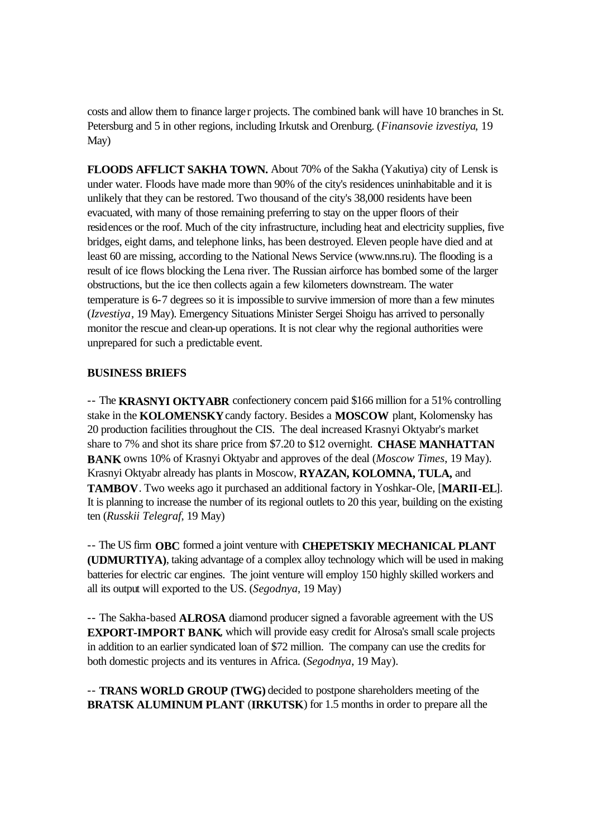costs and allow them to finance larger projects. The combined bank will have 10 branches in St. Petersburg and 5 in other regions, including Irkutsk and Orenburg. (*Finansovie izvestiya*, 19 May)

**FLOODS AFFLICT SAKHA TOWN.** About 70% of the Sakha (Yakutiya) city of Lensk is under water. Floods have made more than 90% of the city's residences uninhabitable and it is unlikely that they can be restored. Two thousand of the city's 38,000 residents have been evacuated, with many of those remaining preferring to stay on the upper floors of their residences or the roof. Much of the city infrastructure, including heat and electricity supplies, five bridges, eight dams, and telephone links, has been destroyed. Eleven people have died and at least 60 are missing, according to the National News Service (www.nns.ru). The flooding is a result of ice flows blocking the Lena river. The Russian airforce has bombed some of the larger obstructions, but the ice then collects again a few kilometers downstream. The water temperature is 6-7 degrees so it is impossible to survive immersion of more than a few minutes (*Izvestiya*, 19 May). Emergency Situations Minister Sergei Shoigu has arrived to personally monitor the rescue and clean-up operations. It is not clear why the regional authorities were unprepared for such a predictable event.

### **BUSINESS BRIEFS**

-- The **KRASNYI OKTYABR** confectionery concern paid \$166 million for a 51% controlling stake in the **KOLOMENSKY** candy factory. Besides a **MOSCOW** plant, Kolomensky has 20 production facilities throughout the CIS. The deal increased Krasnyi Oktyabr's market share to 7% and shot its share price from \$7.20 to \$12 overnight. **CHASE MANHATTAN BANK** owns 10% of Krasnyi Oktyabr and approves of the deal (*Moscow Times*, 19 May). Krasnyi Oktyabr already has plants in Moscow, **RYAZAN, KOLOMNA, TULA,** and **TAMBOV**. Two weeks ago it purchased an additional factory in Yoshkar-Ole, [**MARII-EL**]. It is planning to increase the number of its regional outlets to 20 this year, building on the existing ten (*Russkii Telegraf*, 19 May)

-- The US firm **OBC** formed a joint venture with **CHEPETSKIY MECHANICAL PLANT (UDMURTIYA)**, taking advantage of a complex alloy technology which will be used in making batteries for electric car engines. The joint venture will employ 150 highly skilled workers and all its output will exported to the US. (*Segodnya*, 19 May)

-- The Sakha-based **ALROSA** diamond producer signed a favorable agreement with the US **EXPORT-IMPORT BANK**, which will provide easy credit for Alrosa's small scale projects in addition to an earlier syndicated loan of \$72 million. The company can use the credits for both domestic projects and its ventures in Africa. (*Segodnya*, 19 May).

-- **TRANS WORLD GROUP (TWG)** decided to postpone shareholders meeting of the **BRATSK ALUMINUM PLANT** (**IRKUTSK**) for 1.5 months in order to prepare all the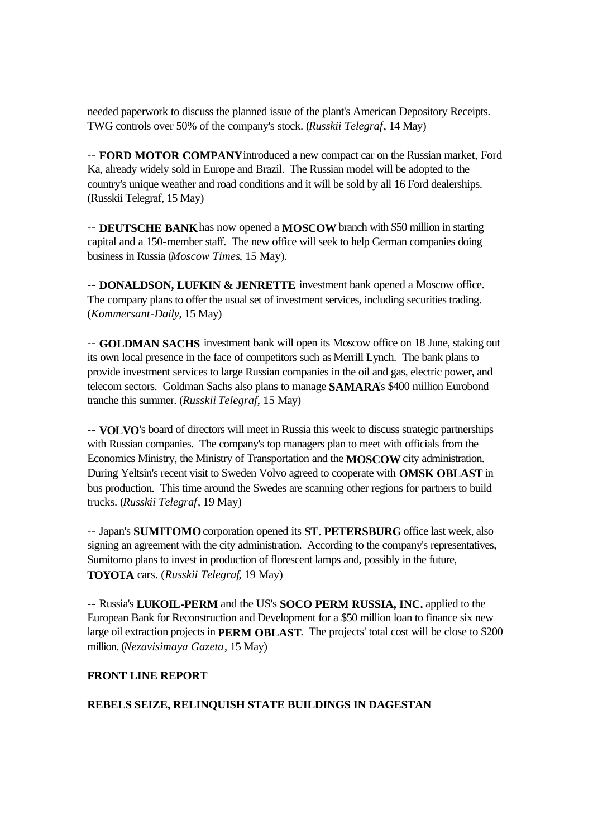needed paperwork to discuss the planned issue of the plant's American Depository Receipts. TWG controls over 50% of the company's stock. (*Russkii Telegraf*, 14 May)

-- **FORD MOTOR COMPANY** introduced a new compact car on the Russian market, Ford Ka, already widely sold in Europe and Brazil. The Russian model will be adopted to the country's unique weather and road conditions and it will be sold by all 16 Ford dealerships. (Russkii Telegraf, 15 May)

-- **DEUTSCHE BANK** has now opened a **MOSCOW** branch with \$50 million in starting capital and a 150-member staff. The new office will seek to help German companies doing business in Russia (*Moscow Times*, 15 May).

-- **DONALDSON, LUFKIN & JENRETTE** investment bank opened a Moscow office. The company plans to offer the usual set of investment services, including securities trading. (*Kommersant-Daily*, 15 May)

-- **GOLDMAN SACHS** investment bank will open its Moscow office on 18 June, staking out its own local presence in the face of competitors such as Merrill Lynch. The bank plans to provide investment services to large Russian companies in the oil and gas, electric power, and telecom sectors. Goldman Sachs also plans to manage **SAMARA**'s \$400 million Eurobond tranche this summer. (*Russkii Telegraf*, 15 May)

-- **VOLVO**'s board of directors will meet in Russia this week to discuss strategic partnerships with Russian companies. The company's top managers plan to meet with officials from the Economics Ministry, the Ministry of Transportation and the **MOSCOW** city administration. During Yeltsin's recent visit to Sweden Volvo agreed to cooperate with **OMSK OBLAST** in bus production. This time around the Swedes are scanning other regions for partners to build trucks. (*Russkii Telegraf*, 19 May)

-- Japan's **SUMITOMO** corporation opened its **ST. PETERSBURG** office last week, also signing an agreement with the city administration. According to the company's representatives, Sumitomo plans to invest in production of florescent lamps and, possibly in the future, **TOYOTA** cars. (*Russkii Telegraf*, 19 May)

-- Russia's **LUKOIL-PERM** and the US's **SOCO PERM RUSSIA, INC.** applied to the European Bank for Reconstruction and Development for a \$50 million loan to finance six new large oil extraction projects in **PERM OBLAST**. The projects' total cost will be close to \$200 million. (*Nezavisimaya Gazeta*, 15 May)

# **FRONT LINE REPORT**

# **REBELS SEIZE, RELINQUISH STATE BUILDINGS IN DAGESTAN**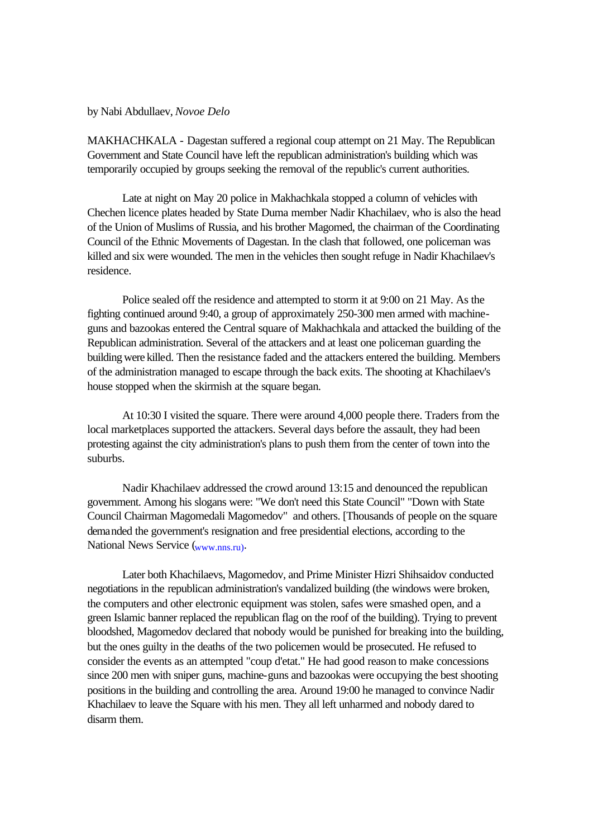by Nabi Abdullaev, *Novoe Delo*

MAKHACHKALA - Dagestan suffered a regional coup attempt on 21 May. The Republican Government and State Council have left the republican administration's building which was temporarily occupied by groups seeking the removal of the republic's current authorities.

Late at night on May 20 police in Makhachkala stopped a column of vehicles with Chechen licence plates headed by State Duma member Nadir Khachilaev, who is also the head of the Union of Muslims of Russia, and his brother Magomed, the chairman of the Coordinating Council of the Ethnic Movements of Dagestan. In the clash that followed, one policeman was killed and six were wounded. The men in the vehicles then sought refuge in Nadir Khachilaev's residence.

Police sealed off the residence and attempted to storm it at 9:00 on 21 May. As the fighting continued around 9:40, a group of approximately 250-300 men armed with machineguns and bazookas entered the Central square of Makhachkala and attacked the building of the Republican administration. Several of the attackers and at least one policeman guarding the building were killed. Then the resistance faded and the attackers entered the building. Members of the administration managed to escape through the back exits. The shooting at Khachilaev's house stopped when the skirmish at the square began.

At 10:30 I visited the square. There were around 4,000 people there. Traders from the local marketplaces supported the attackers. Several days before the assault, they had been protesting against the city administration's plans to push them from the center of town into the suburbs.

Nadir Khachilaev addressed the crowd around 13:15 and denounced the republican government. Among his slogans were: "We don't need this State Council" "Down with State Council Chairman Magomedali Magomedov" and others. [Thousands of people on the square demanded the government's resignation and free presidential elections, according to the National News Service (www.nns.ru).

Later both Khachilaevs, Magomedov, and Prime Minister Hizri Shihsaidov conducted negotiations in the republican administration's vandalized building (the windows were broken, the computers and other electronic equipment was stolen, safes were smashed open, and a green Islamic banner replaced the republican flag on the roof of the building). Trying to prevent bloodshed, Magomedov declared that nobody would be punished for breaking into the building, but the ones guilty in the deaths of the two policemen would be prosecuted. He refused to consider the events as an attempted "coup d'etat." He had good reason to make concessions since 200 men with sniper guns, machine-guns and bazookas were occupying the best shooting positions in the building and controlling the area. Around 19:00 he managed to convince Nadir Khachilaev to leave the Square with his men. They all left unharmed and nobody dared to disarm them.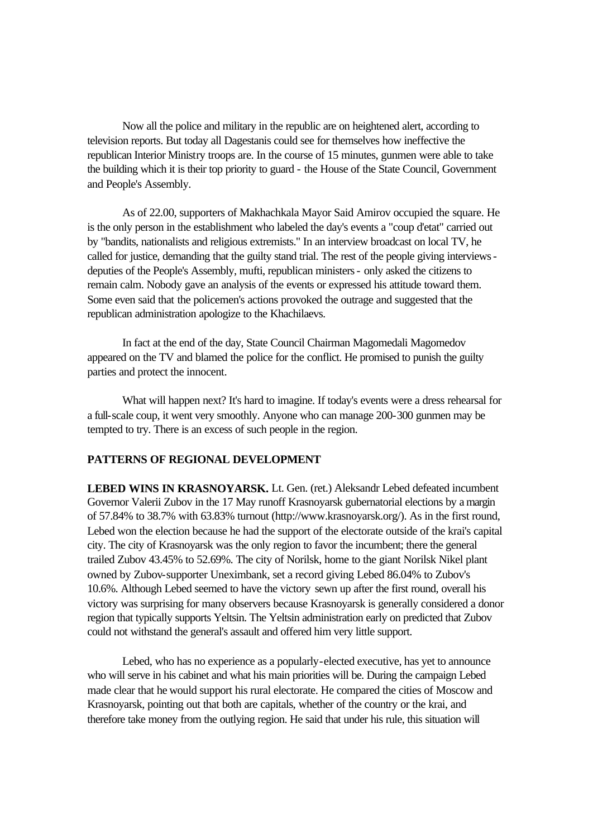Now all the police and military in the republic are on heightened alert, according to television reports. But today all Dagestanis could see for themselves how ineffective the republican Interior Ministry troops are. In the course of 15 minutes, gunmen were able to take the building which it is their top priority to guard - the House of the State Council, Government and People's Assembly.

As of 22.00, supporters of Makhachkala Mayor Said Amirov occupied the square. He is the only person in the establishment who labeled the day's events a "coup d'etat" carried out by "bandits, nationalists and religious extremists." In an interview broadcast on local TV, he called for justice, demanding that the guilty stand trial. The rest of the people giving interviews deputies of the People's Assembly, mufti, republican ministers - only asked the citizens to remain calm. Nobody gave an analysis of the events or expressed his attitude toward them. Some even said that the policemen's actions provoked the outrage and suggested that the republican administration apologize to the Khachilaevs.

In fact at the end of the day, State Council Chairman Magomedali Magomedov appeared on the TV and blamed the police for the conflict. He promised to punish the guilty parties and protect the innocent.

What will happen next? It's hard to imagine. If today's events were a dress rehearsal for a full-scale coup, it went very smoothly. Anyone who can manage 200-300 gunmen may be tempted to try. There is an excess of such people in the region.

### **PATTERNS OF REGIONAL DEVELOPMENT**

**LEBED WINS IN KRASNOYARSK.** Lt. Gen. (ret.) Aleksandr Lebed defeated incumbent Governor Valerii Zubov in the 17 May runoff Krasnoyarsk gubernatorial elections by a margin of 57.84% to 38.7% with 63.83% turnout (http://www.krasnoyarsk.org/). As in the first round, Lebed won the election because he had the support of the electorate outside of the krai's capital city. The city of Krasnoyarsk was the only region to favor the incumbent; there the general trailed Zubov 43.45% to 52.69%. The city of Norilsk, home to the giant Norilsk Nikel plant owned by Zubov-supporter Uneximbank, set a record giving Lebed 86.04% to Zubov's 10.6%. Although Lebed seemed to have the victory sewn up after the first round, overall his victory was surprising for many observers because Krasnoyarsk is generally considered a donor region that typically supports Yeltsin. The Yeltsin administration early on predicted that Zubov could not withstand the general's assault and offered him very little support.

Lebed, who has no experience as a popularly-elected executive, has yet to announce who will serve in his cabinet and what his main priorities will be. During the campaign Lebed made clear that he would support his rural electorate. He compared the cities of Moscow and Krasnoyarsk, pointing out that both are capitals, whether of the country or the krai, and therefore take money from the outlying region. He said that under his rule, this situation will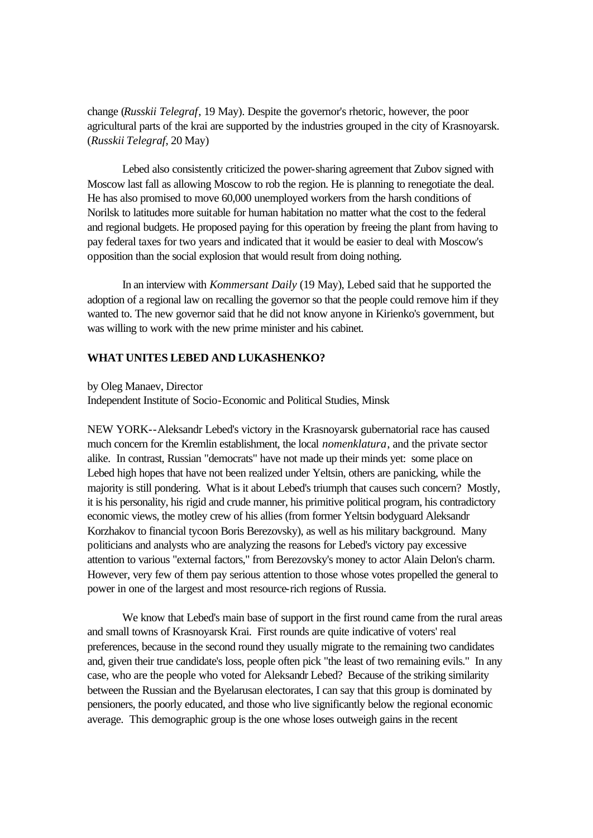change (*Russkii Telegraf*, 19 May). Despite the governor's rhetoric, however, the poor agricultural parts of the krai are supported by the industries grouped in the city of Krasnoyarsk. (*Russkii Telegraf*, 20 May)

Lebed also consistently criticized the power-sharing agreement that Zubov signed with Moscow last fall as allowing Moscow to rob the region. He is planning to renegotiate the deal. He has also promised to move 60,000 unemployed workers from the harsh conditions of Norilsk to latitudes more suitable for human habitation no matter what the cost to the federal and regional budgets. He proposed paying for this operation by freeing the plant from having to pay federal taxes for two years and indicated that it would be easier to deal with Moscow's opposition than the social explosion that would result from doing nothing.

In an interview with *Kommersant Daily* (19 May), Lebed said that he supported the adoption of a regional law on recalling the governor so that the people could remove him if they wanted to. The new governor said that he did not know anyone in Kirienko's government, but was willing to work with the new prime minister and his cabinet.

### **WHAT UNITES LEBED AND LUKASHENKO?**

by Oleg Manaev, Director

Independent Institute of Socio-Economic and Political Studies, Minsk

NEW YORK--Aleksandr Lebed's victory in the Krasnoyarsk gubernatorial race has caused much concern for the Kremlin establishment, the local *nomenklatura*, and the private sector alike. In contrast, Russian "democrats" have not made up their minds yet: some place on Lebed high hopes that have not been realized under Yeltsin, others are panicking, while the majority is still pondering. What is it about Lebed's triumph that causes such concern? Mostly, it is his personality, his rigid and crude manner, his primitive political program, his contradictory economic views, the motley crew of his allies (from former Yeltsin bodyguard Aleksandr Korzhakov to financial tycoon Boris Berezovsky), as well as his military background. Many politicians and analysts who are analyzing the reasons for Lebed's victory pay excessive attention to various "external factors," from Berezovsky's money to actor Alain Delon's charm. However, very few of them pay serious attention to those whose votes propelled the general to power in one of the largest and most resource-rich regions of Russia.

We know that Lebed's main base of support in the first round came from the rural areas and small towns of Krasnoyarsk Krai. First rounds are quite indicative of voters' real preferences, because in the second round they usually migrate to the remaining two candidates and, given their true candidate's loss, people often pick "the least of two remaining evils." In any case, who are the people who voted for Aleksandr Lebed? Because of the striking similarity between the Russian and the Byelarusan electorates, I can say that this group is dominated by pensioners, the poorly educated, and those who live significantly below the regional economic average. This demographic group is the one whose loses outweigh gains in the recent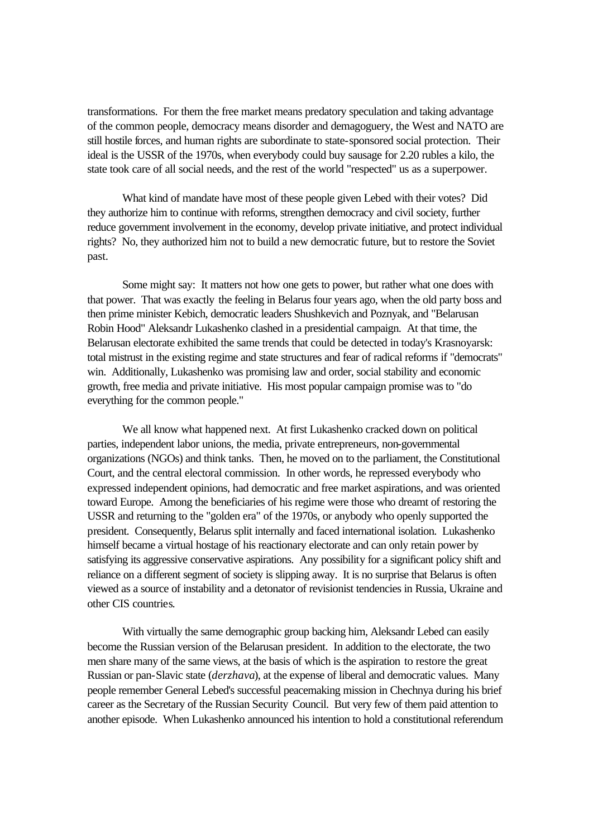transformations. For them the free market means predatory speculation and taking advantage of the common people, democracy means disorder and demagoguery, the West and NATO are still hostile forces, and human rights are subordinate to state-sponsored social protection. Their ideal is the USSR of the 1970s, when everybody could buy sausage for 2.20 rubles a kilo, the state took care of all social needs, and the rest of the world "respected" us as a superpower.

What kind of mandate have most of these people given Lebed with their votes? Did they authorize him to continue with reforms, strengthen democracy and civil society, further reduce government involvement in the economy, develop private initiative, and protect individual rights? No, they authorized him not to build a new democratic future, but to restore the Soviet past.

Some might say: It matters not how one gets to power, but rather what one does with that power. That was exactly the feeling in Belarus four years ago, when the old party boss and then prime minister Kebich, democratic leaders Shushkevich and Poznyak, and "Belarusan Robin Hood" Aleksandr Lukashenko clashed in a presidential campaign. At that time, the Belarusan electorate exhibited the same trends that could be detected in today's Krasnoyarsk: total mistrust in the existing regime and state structures and fear of radical reforms if "democrats" win. Additionally, Lukashenko was promising law and order, social stability and economic growth, free media and private initiative. His most popular campaign promise was to "do everything for the common people."

We all know what happened next. At first Lukashenko cracked down on political parties, independent labor unions, the media, private entrepreneurs, non-governmental organizations (NGOs) and think tanks. Then, he moved on to the parliament, the Constitutional Court, and the central electoral commission. In other words, he repressed everybody who expressed independent opinions, had democratic and free market aspirations, and was oriented toward Europe. Among the beneficiaries of his regime were those who dreamt of restoring the USSR and returning to the "golden era" of the 1970s, or anybody who openly supported the president. Consequently, Belarus split internally and faced international isolation. Lukashenko himself became a virtual hostage of his reactionary electorate and can only retain power by satisfying its aggressive conservative aspirations. Any possibility for a significant policy shift and reliance on a different segment of society is slipping away. It is no surprise that Belarus is often viewed as a source of instability and a detonator of revisionist tendencies in Russia, Ukraine and other CIS countries.

With virtually the same demographic group backing him, Aleksandr Lebed can easily become the Russian version of the Belarusan president. In addition to the electorate, the two men share many of the same views, at the basis of which is the aspiration to restore the great Russian or pan-Slavic state (*derzhava*), at the expense of liberal and democratic values. Many people remember General Lebed's successful peacemaking mission in Chechnya during his brief career as the Secretary of the Russian Security Council. But very few of them paid attention to another episode. When Lukashenko announced his intention to hold a constitutional referendum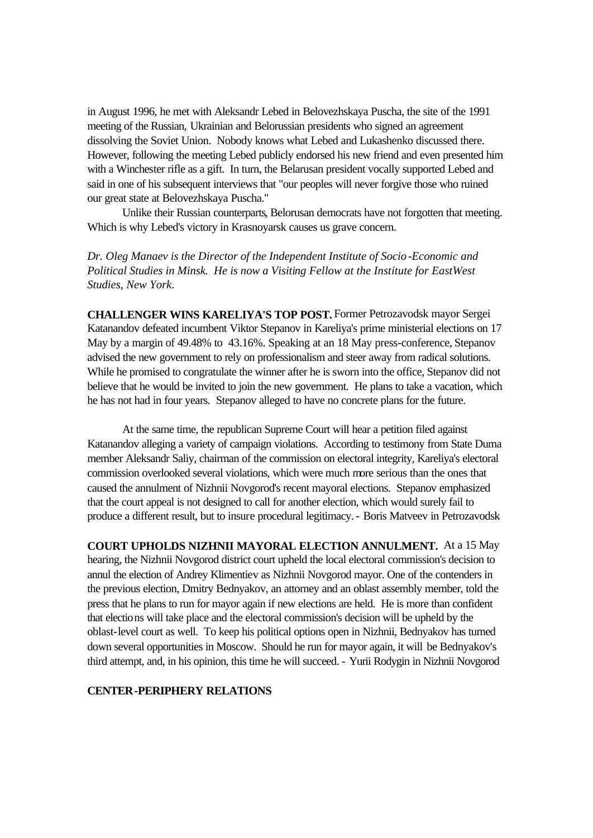in August 1996, he met with Aleksandr Lebed in Belovezhskaya Puscha, the site of the 1991 meeting of the Russian, Ukrainian and Belorussian presidents who signed an agreement dissolving the Soviet Union. Nobody knows what Lebed and Lukashenko discussed there. However, following the meeting Lebed publicly endorsed his new friend and even presented him with a Winchester rifle as a gift. In turn, the Belarusan president vocally supported Lebed and said in one of his subsequent interviews that "our peoples will never forgive those who ruined our great state at Belovezhskaya Puscha."

Unlike their Russian counterparts, Belorusan democrats have not forgotten that meeting. Which is why Lebed's victory in Krasnoyarsk causes us grave concern.

*Dr. Oleg Manaev is the Director of the Independent Institute of Socio -Economic and Political Studies in Minsk. He is now a Visiting Fellow at the Institute for EastWest Studies, New York*.

**CHALLENGER WINS KARELIYA'S TOP POST.** Former Petrozavodsk mayor Sergei Katanandov defeated incumbent Viktor Stepanov in Kareliya's prime ministerial elections on 17 May by a margin of 49.48% to 43.16%. Speaking at an 18 May press-conference, Stepanov advised the new government to rely on professionalism and steer away from radical solutions. While he promised to congratulate the winner after he is sworn into the office, Stepanov did not believe that he would be invited to join the new government. He plans to take a vacation, which he has not had in four years. Stepanov alleged to have no concrete plans for the future.

At the same time, the republican Supreme Court will hear a petition filed against Katanandov alleging a variety of campaign violations. According to testimony from State Duma member Aleksandr Saliy, chairman of the commission on electoral integrity, Kareliya's electoral commission overlooked several violations, which were much more serious than the ones that caused the annulment of Nizhnii Novgorod's recent mayoral elections. Stepanov emphasized that the court appeal is not designed to call for another election, which would surely fail to produce a different result, but to insure procedural legitimacy. - Boris Matveev in Petrozavodsk

**COURT UPHOLDS NIZHNII MAYORAL ELECTION ANNULMENT.** At a 15 May hearing, the Nizhnii Novgorod district court upheld the local electoral commission's decision to annul the election of Andrey Klimentiev as Nizhnii Novgorod mayor. One of the contenders in the previous election, Dmitry Bednyakov, an attorney and an oblast assembly member, told the press that he plans to run for mayor again if new elections are held. He is more than confident that elections will take place and the electoral commission's decision will be upheld by the oblast-level court as well. To keep his political options open in Nizhnii, Bednyakov has turned down several opportunities in Moscow. Should he run for mayor again, it will be Bednyakov's third attempt, and, in his opinion, this time he will succeed. - Yurii Rodygin in Nizhnii Novgorod

### **CENTER-PERIPHERY RELATIONS**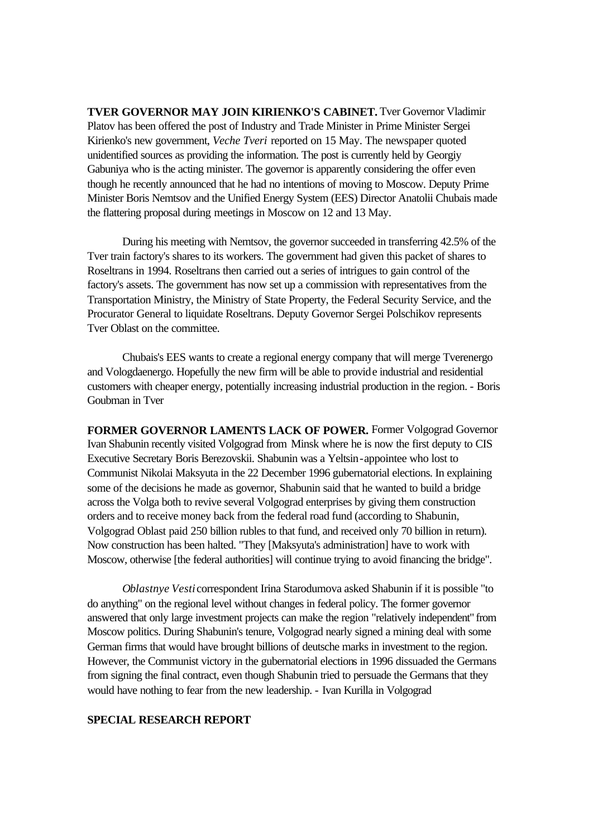**TVER GOVERNOR MAY JOIN KIRIENKO'S CABINET.** Tver Governor Vladimir Platov has been offered the post of Industry and Trade Minister in Prime Minister Sergei Kirienko's new government, *Veche Tveri* reported on 15 May. The newspaper quoted unidentified sources as providing the information. The post is currently held by Georgiy Gabuniya who is the acting minister. The governor is apparently considering the offer even though he recently announced that he had no intentions of moving to Moscow. Deputy Prime Minister Boris Nemtsov and the Unified Energy System (EES) Director Anatolii Chubais made the flattering proposal during meetings in Moscow on 12 and 13 May.

During his meeting with Nemtsov, the governor succeeded in transferring 42.5% of the Tver train factory's shares to its workers. The government had given this packet of shares to Roseltrans in 1994. Roseltrans then carried out a series of intrigues to gain control of the factory's assets. The government has now set up a commission with representatives from the Transportation Ministry, the Ministry of State Property, the Federal Security Service, and the Procurator General to liquidate Roseltrans. Deputy Governor Sergei Polschikov represents Tver Oblast on the committee.

Chubais's EES wants to create a regional energy company that will merge Tverenergo and Vologdaenergo. Hopefully the new firm will be able to provide industrial and residential customers with cheaper energy, potentially increasing industrial production in the region. - Boris Goubman in Tver

**FORMER GOVERNOR LAMENTS LACK OF POWER.** Former Volgograd Governor Ivan Shabunin recently visited Volgograd from Minsk where he is now the first deputy to CIS Executive Secretary Boris Berezovskii. Shabunin was a Yeltsin-appointee who lost to Communist Nikolai Maksyuta in the 22 December 1996 gubernatorial elections. In explaining some of the decisions he made as governor, Shabunin said that he wanted to build a bridge across the Volga both to revive several Volgograd enterprises by giving them construction orders and to receive money back from the federal road fund (according to Shabunin, Volgograd Oblast paid 250 billion rubles to that fund, and received only 70 billion in return). Now construction has been halted. "They [Maksyuta's administration] have to work with Moscow, otherwise [the federal authorities] will continue trying to avoid financing the bridge".

*Oblastnye Vesti* correspondent Irina Starodumova asked Shabunin if it is possible "to do anything" on the regional level without changes in federal policy. The former governor answered that only large investment projects can make the region "relatively independent" from Moscow politics. During Shabunin's tenure, Volgograd nearly signed a mining deal with some German firms that would have brought billions of deutsche marks in investment to the region. However, the Communist victory in the gubernatorial elections in 1996 dissuaded the Germans from signing the final contract, even though Shabunin tried to persuade the Germans that they would have nothing to fear from the new leadership. - Ivan Kurilla in Volgograd

### **SPECIAL RESEARCH REPORT**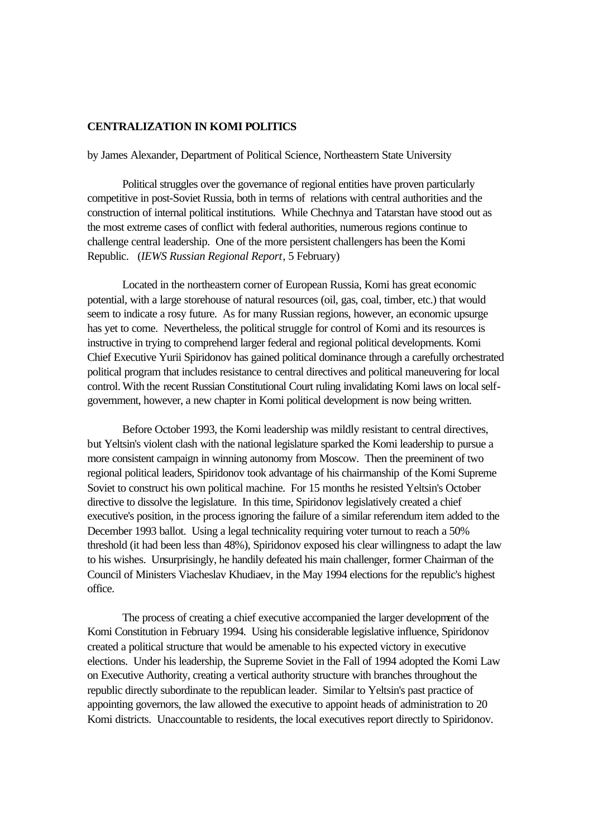# **CENTRALIZATION IN KOMI POLITICS**

### by James Alexander, Department of Political Science, Northeastern State University

Political struggles over the governance of regional entities have proven particularly competitive in post-Soviet Russia, both in terms of relations with central authorities and the construction of internal political institutions. While Chechnya and Tatarstan have stood out as the most extreme cases of conflict with federal authorities, numerous regions continue to challenge central leadership. One of the more persistent challengers has been the Komi Republic. (*IEWS Russian Regional Report*, 5 February)

Located in the northeastern corner of European Russia, Komi has great economic potential, with a large storehouse of natural resources (oil, gas, coal, timber, etc.) that would seem to indicate a rosy future. As for many Russian regions, however, an economic upsurge has yet to come. Nevertheless, the political struggle for control of Komi and its resources is instructive in trying to comprehend larger federal and regional political developments. Komi Chief Executive Yurii Spiridonov has gained political dominance through a carefully orchestrated political program that includes resistance to central directives and political maneuvering for local control. With the recent Russian Constitutional Court ruling invalidating Komi laws on local selfgovernment, however, a new chapter in Komi political development is now being written.

Before October 1993, the Komi leadership was mildly resistant to central directives, but Yeltsin's violent clash with the national legislature sparked the Komi leadership to pursue a more consistent campaign in winning autonomy from Moscow. Then the preeminent of two regional political leaders, Spiridonov took advantage of his chairmanship of the Komi Supreme Soviet to construct his own political machine. For 15 months he resisted Yeltsin's October directive to dissolve the legislature. In this time, Spiridonov legislatively created a chief executive's position, in the process ignoring the failure of a similar referendum item added to the December 1993 ballot. Using a legal technicality requiring voter turnout to reach a 50% threshold (it had been less than 48%), Spiridonov exposed his clear willingness to adapt the law to his wishes. Unsurprisingly, he handily defeated his main challenger, former Chairman of the Council of Ministers Viacheslav Khudiaev, in the May 1994 elections for the republic's highest office.

The process of creating a chief executive accompanied the larger development of the Komi Constitution in February 1994. Using his considerable legislative influence, Spiridonov created a political structure that would be amenable to his expected victory in executive elections. Under his leadership, the Supreme Soviet in the Fall of 1994 adopted the Komi Law on Executive Authority, creating a vertical authority structure with branches throughout the republic directly subordinate to the republican leader. Similar to Yeltsin's past practice of appointing governors, the law allowed the executive to appoint heads of administration to 20 Komi districts. Unaccountable to residents, the local executives report directly to Spiridonov.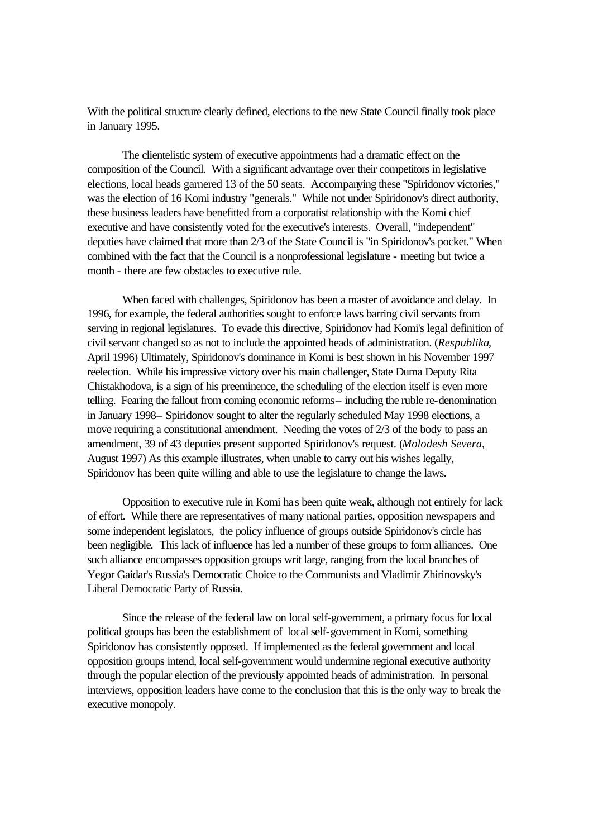With the political structure clearly defined, elections to the new State Council finally took place in January 1995.

The clientelistic system of executive appointments had a dramatic effect on the composition of the Council. With a significant advantage over their competitors in legislative elections, local heads garnered 13 of the 50 seats. Accompanying these "Spiridonov victories," was the election of 16 Komi industry "generals." While not under Spiridonov's direct authority, these business leaders have benefitted from a corporatist relationship with the Komi chief executive and have consistently voted for the executive's interests. Overall, "independent" deputies have claimed that more than 2/3 of the State Council is "in Spiridonov's pocket." When combined with the fact that the Council is a nonprofessional legislature - meeting but twice a month - there are few obstacles to executive rule.

When faced with challenges, Spiridonov has been a master of avoidance and delay. In 1996, for example, the federal authorities sought to enforce laws barring civil servants from serving in regional legislatures. To evade this directive, Spiridonov had Komi's legal definition of civil servant changed so as not to include the appointed heads of administration. (*Respublika*, April 1996) Ultimately, Spiridonov's dominance in Komi is best shown in his November 1997 reelection. While his impressive victory over his main challenger, State Duma Deputy Rita Chistakhodova, is a sign of his preeminence, the scheduling of the election itself is even more telling. Fearing the fallout from coming economic reforms– including the ruble re-denomination in January 1998– Spiridonov sought to alter the regularly scheduled May 1998 elections, a move requiring a constitutional amendment. Needing the votes of 2/3 of the body to pass an amendment, 39 of 43 deputies present supported Spiridonov's request. (*Molodesh Severa*, August 1997) As this example illustrates, when unable to carry out his wishes legally, Spiridonov has been quite willing and able to use the legislature to change the laws.

Opposition to executive rule in Komi has been quite weak, although not entirely for lack of effort. While there are representatives of many national parties, opposition newspapers and some independent legislators, the policy influence of groups outside Spiridonov's circle has been negligible. This lack of influence has led a number of these groups to form alliances. One such alliance encompasses opposition groups writ large, ranging from the local branches of Yegor Gaidar's Russia's Democratic Choice to the Communists and Vladimir Zhirinovsky's Liberal Democratic Party of Russia.

Since the release of the federal law on local self-government, a primary focus for local political groups has been the establishment of local self-government in Komi, something Spiridonov has consistently opposed. If implemented as the federal government and local opposition groups intend, local self-government would undermine regional executive authority through the popular election of the previously appointed heads of administration. In personal interviews, opposition leaders have come to the conclusion that this is the only way to break the executive monopoly.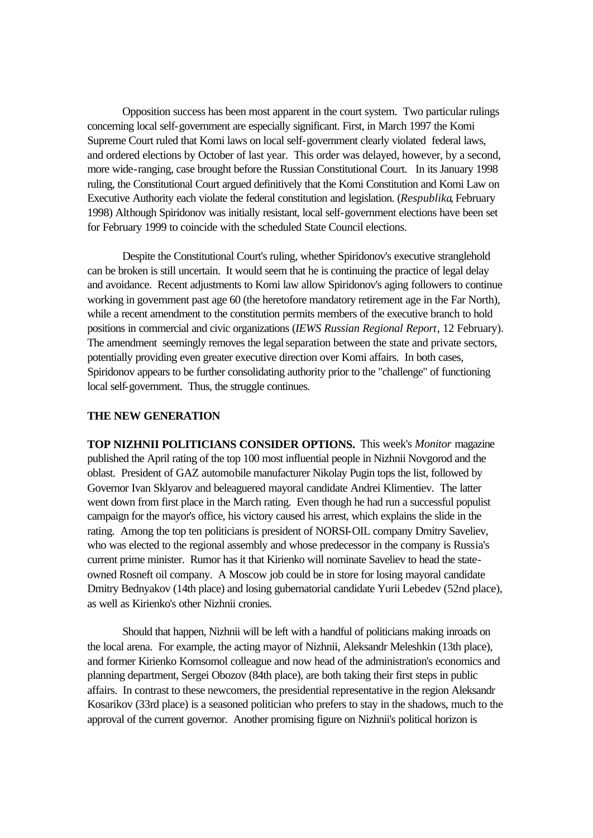Opposition success has been most apparent in the court system. Two particular rulings concerning local self-government are especially significant. First, in March 1997 the Komi Supreme Court ruled that Komi laws on local self-government clearly violated federal laws, and ordered elections by October of last year. This order was delayed, however, by a second, more wide-ranging, case brought before the Russian Constitutional Court. In its January 1998 ruling, the Constitutional Court argued definitively that the Komi Constitution and Komi Law on Executive Authority each violate the federal constitution and legislation. (*Respublika*, February 1998) Although Spiridonov was initially resistant, local self-government elections have been set for February 1999 to coincide with the scheduled State Council elections.

Despite the Constitutional Court's ruling, whether Spiridonov's executive stranglehold can be broken is still uncertain. It would seem that he is continuing the practice of legal delay and avoidance. Recent adjustments to Komi law allow Spiridonov's aging followers to continue working in government past age 60 (the heretofore mandatory retirement age in the Far North), while a recent amendment to the constitution permits members of the executive branch to hold positions in commercial and civic organizations (*IEWS Russian Regional Report*, 12 February). The amendment seemingly removes the legal separation between the state and private sectors, potentially providing even greater executive direction over Komi affairs. In both cases, Spiridonov appears to be further consolidating authority prior to the "challenge" of functioning local self-government. Thus, the struggle continues.

#### **THE NEW GENERATION**

**TOP NIZHNII POLITICIANS CONSIDER OPTIONS.** This week's *Monitor* magazine published the April rating of the top 100 most influential people in Nizhnii Novgorod and the oblast. President of GAZ automobile manufacturer Nikolay Pugin tops the list, followed by Governor Ivan Sklyarov and beleaguered mayoral candidate Andrei Klimentiev. The latter went down from first place in the March rating. Even though he had run a successful populist campaign for the mayor's office, his victory caused his arrest, which explains the slide in the rating. Among the top ten politicians is president of NORSI-OIL company Dmitry Saveliev, who was elected to the regional assembly and whose predecessor in the company is Russia's current prime minister. Rumor has it that Kirienko will nominate Saveliev to head the stateowned Rosneft oil company. A Moscow job could be in store for losing mayoral candidate Dmitry Bednyakov (14th place) and losing gubernatorial candidate Yurii Lebedev (52nd place), as well as Kirienko's other Nizhnii cronies.

Should that happen, Nizhnii will be left with a handful of politicians making inroads on the local arena. For example, the acting mayor of Nizhnii, Aleksandr Meleshkin (13th place), and former Kirienko Komsomol colleague and now head of the administration's economics and planning department, Sergei Obozov (84th place), are both taking their first steps in public affairs. In contrast to these newcomers, the presidential representative in the region Aleksandr Kosarikov (33rd place) is a seasoned politician who prefers to stay in the shadows, much to the approval of the current governor. Another promising figure on Nizhnii's political horizon is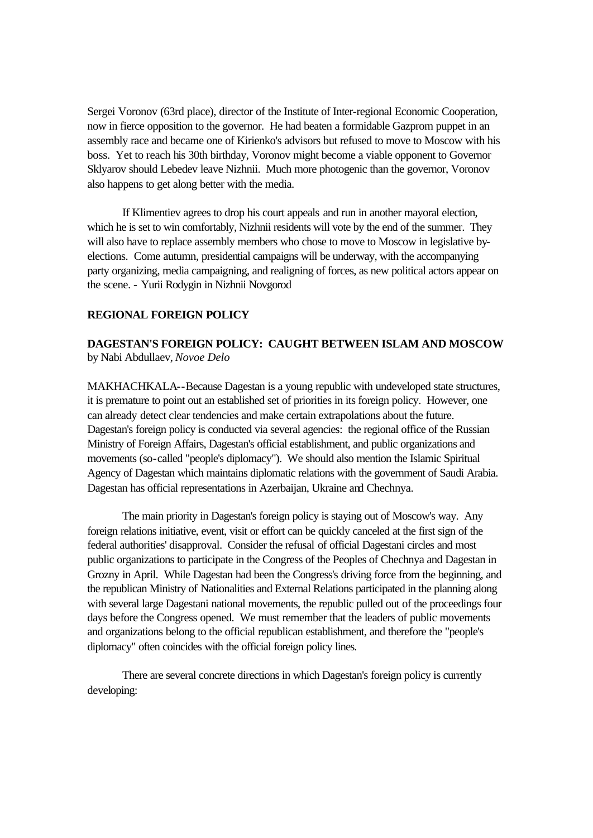Sergei Voronov (63rd place), director of the Institute of Inter-regional Economic Cooperation, now in fierce opposition to the governor. He had beaten a formidable Gazprom puppet in an assembly race and became one of Kirienko's advisors but refused to move to Moscow with his boss. Yet to reach his 30th birthday, Voronov might become a viable opponent to Governor Sklyarov should Lebedev leave Nizhnii. Much more photogenic than the governor, Voronov also happens to get along better with the media.

If Klimentiev agrees to drop his court appeals and run in another mayoral election, which he is set to win comfortably, Nizhnii residents will vote by the end of the summer. They will also have to replace assembly members who chose to move to Moscow in legislative byelections. Come autumn, presidential campaigns will be underway, with the accompanying party organizing, media campaigning, and realigning of forces, as new political actors appear on the scene. - Yurii Rodygin in Nizhnii Novgorod

# **REGIONAL FOREIGN POLICY**

# **DAGESTAN'S FOREIGN POLICY: CAUGHT BETWEEN ISLAM AND MOSCOW** by Nabi Abdullaev, *Novoe Delo*

MAKHACHKALA--Because Dagestan is a young republic with undeveloped state structures, it is premature to point out an established set of priorities in its foreign policy. However, one can already detect clear tendencies and make certain extrapolations about the future. Dagestan's foreign policy is conducted via several agencies: the regional office of the Russian Ministry of Foreign Affairs, Dagestan's official establishment, and public organizations and movements (so-called "people's diplomacy"). We should also mention the Islamic Spiritual Agency of Dagestan which maintains diplomatic relations with the government of Saudi Arabia. Dagestan has official representations in Azerbaijan, Ukraine and Chechnya.

The main priority in Dagestan's foreign policy is staying out of Moscow's way. Any foreign relations initiative, event, visit or effort can be quickly canceled at the first sign of the federal authorities' disapproval. Consider the refusal of official Dagestani circles and most public organizations to participate in the Congress of the Peoples of Chechnya and Dagestan in Grozny in April. While Dagestan had been the Congress's driving force from the beginning, and the republican Ministry of Nationalities and External Relations participated in the planning along with several large Dagestani national movements, the republic pulled out of the proceedings four days before the Congress opened. We must remember that the leaders of public movements and organizations belong to the official republican establishment, and therefore the "people's diplomacy" often coincides with the official foreign policy lines.

There are several concrete directions in which Dagestan's foreign policy is currently developing: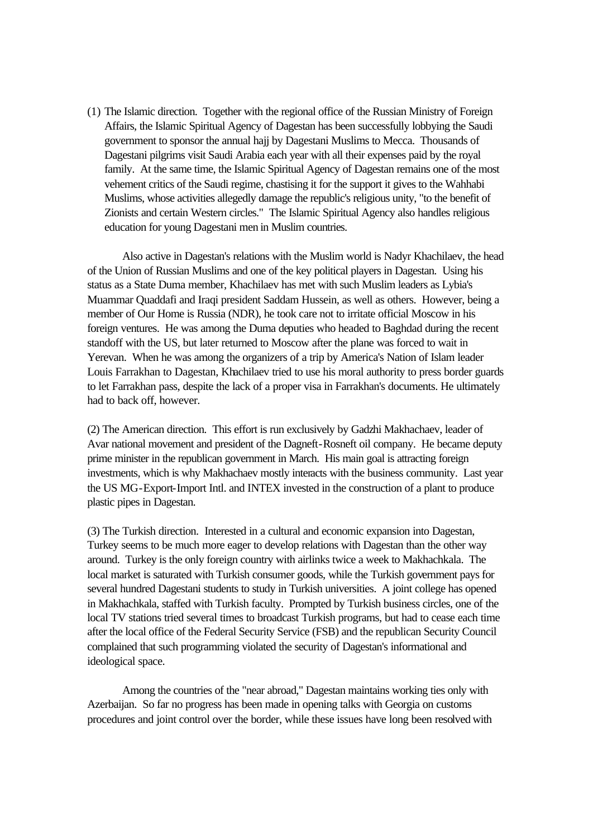(1) The Islamic direction. Together with the regional office of the Russian Ministry of Foreign Affairs, the Islamic Spiritual Agency of Dagestan has been successfully lobbying the Saudi government to sponsor the annual hajj by Dagestani Muslims to Mecca. Thousands of Dagestani pilgrims visit Saudi Arabia each year with all their expenses paid by the royal family. At the same time, the Islamic Spiritual Agency of Dagestan remains one of the most vehement critics of the Saudi regime, chastising it for the support it gives to the Wahhabi Muslims, whose activities allegedly damage the republic's religious unity, "to the benefit of Zionists and certain Western circles." The Islamic Spiritual Agency also handles religious education for young Dagestani men in Muslim countries.

Also active in Dagestan's relations with the Muslim world is Nadyr Khachilaev, the head of the Union of Russian Muslims and one of the key political players in Dagestan. Using his status as a State Duma member, Khachilaev has met with such Muslim leaders as Lybia's Muammar Quaddafi and Iraqi president Saddam Hussein, as well as others. However, being a member of Our Home is Russia (NDR), he took care not to irritate official Moscow in his foreign ventures. He was among the Duma deputies who headed to Baghdad during the recent standoff with the US, but later returned to Moscow after the plane was forced to wait in Yerevan. When he was among the organizers of a trip by America's Nation of Islam leader Louis Farrakhan to Dagestan, Khachilaev tried to use his moral authority to press border guards to let Farrakhan pass, despite the lack of a proper visa in Farrakhan's documents. He ultimately had to back off, however.

(2) The American direction. This effort is run exclusively by Gadzhi Makhachaev, leader of Avar national movement and president of the Dagneft-Rosneft oil company. He became deputy prime minister in the republican government in March. His main goal is attracting foreign investments, which is why Makhachaev mostly interacts with the business community. Last year the US MG-Export-Import Intl. and INTEX invested in the construction of a plant to produce plastic pipes in Dagestan.

(3) The Turkish direction. Interested in a cultural and economic expansion into Dagestan, Turkey seems to be much more eager to develop relations with Dagestan than the other way around. Turkey is the only foreign country with airlinks twice a week to Makhachkala. The local market is saturated with Turkish consumer goods, while the Turkish government pays for several hundred Dagestani students to study in Turkish universities. A joint college has opened in Makhachkala, staffed with Turkish faculty. Prompted by Turkish business circles, one of the local TV stations tried several times to broadcast Turkish programs, but had to cease each time after the local office of the Federal Security Service (FSB) and the republican Security Council complained that such programming violated the security of Dagestan's informational and ideological space.

Among the countries of the "near abroad," Dagestan maintains working ties only with Azerbaijan. So far no progress has been made in opening talks with Georgia on customs procedures and joint control over the border, while these issues have long been resolved with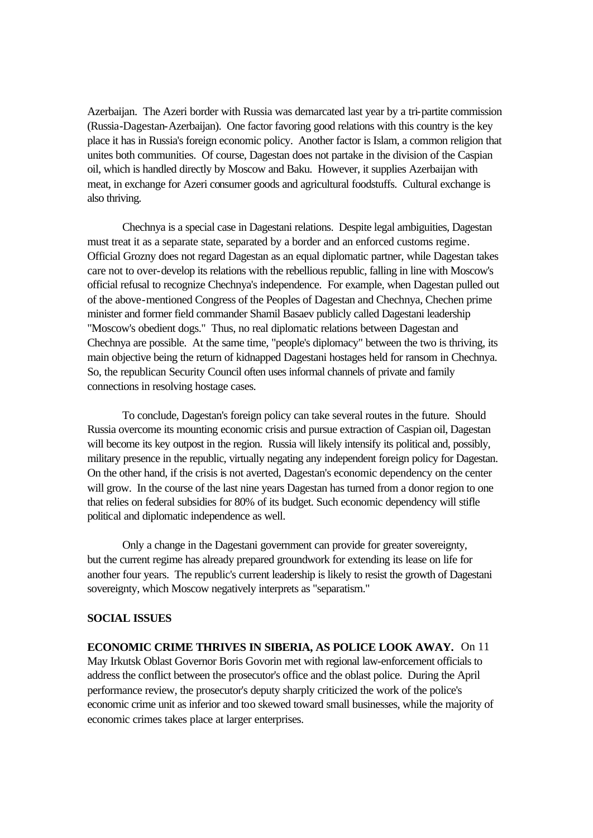Azerbaijan. The Azeri border with Russia was demarcated last year by a tri-partite commission (Russia-Dagestan-Azerbaijan). One factor favoring good relations with this country is the key place it has in Russia's foreign economic policy. Another factor is Islam, a common religion that unites both communities. Of course, Dagestan does not partake in the division of the Caspian oil, which is handled directly by Moscow and Baku. However, it supplies Azerbaijan with meat, in exchange for Azeri consumer goods and agricultural foodstuffs. Cultural exchange is also thriving.

Chechnya is a special case in Dagestani relations. Despite legal ambiguities, Dagestan must treat it as a separate state, separated by a border and an enforced customs regime. Official Grozny does not regard Dagestan as an equal diplomatic partner, while Dagestan takes care not to over-develop its relations with the rebellious republic, falling in line with Moscow's official refusal to recognize Chechnya's independence. For example, when Dagestan pulled out of the above-mentioned Congress of the Peoples of Dagestan and Chechnya, Chechen prime minister and former field commander Shamil Basaev publicly called Dagestani leadership "Moscow's obedient dogs." Thus, no real diplomatic relations between Dagestan and Chechnya are possible. At the same time, "people's diplomacy" between the two is thriving, its main objective being the return of kidnapped Dagestani hostages held for ransom in Chechnya. So, the republican Security Council often uses informal channels of private and family connections in resolving hostage cases.

To conclude, Dagestan's foreign policy can take several routes in the future. Should Russia overcome its mounting economic crisis and pursue extraction of Caspian oil, Dagestan will become its key outpost in the region. Russia will likely intensify its political and, possibly, military presence in the republic, virtually negating any independent foreign policy for Dagestan. On the other hand, if the crisis is not averted, Dagestan's economic dependency on the center will grow. In the course of the last nine years Dagestan has turned from a donor region to one that relies on federal subsidies for 80% of its budget. Such economic dependency will stifle political and diplomatic independence as well.

Only a change in the Dagestani government can provide for greater sovereignty, but the current regime has already prepared groundwork for extending its lease on life for another four years. The republic's current leadership is likely to resist the growth of Dagestani sovereignty, which Moscow negatively interprets as "separatism."

### **SOCIAL ISSUES**

**ECONOMIC CRIME THRIVES IN SIBERIA, AS POLICE LOOK AWAY.** On 11 May Irkutsk Oblast Governor Boris Govorin met with regional law-enforcement officials to address the conflict between the prosecutor's office and the oblast police. During the April performance review, the prosecutor's deputy sharply criticized the work of the police's economic crime unit as inferior and too skewed toward small businesses, while the majority of economic crimes takes place at larger enterprises.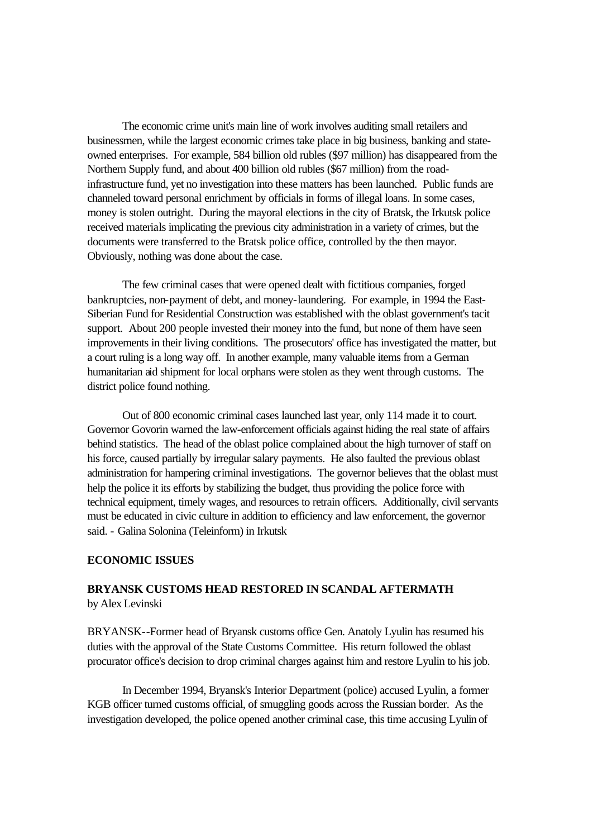The economic crime unit's main line of work involves auditing small retailers and businessmen, while the largest economic crimes take place in big business, banking and stateowned enterprises. For example, 584 billion old rubles (\$97 million) has disappeared from the Northern Supply fund, and about 400 billion old rubles (\$67 million) from the roadinfrastructure fund, yet no investigation into these matters has been launched. Public funds are channeled toward personal enrichment by officials in forms of illegal loans. In some cases, money is stolen outright. During the mayoral elections in the city of Bratsk, the Irkutsk police received materials implicating the previous city administration in a variety of crimes, but the documents were transferred to the Bratsk police office, controlled by the then mayor. Obviously, nothing was done about the case.

The few criminal cases that were opened dealt with fictitious companies, forged bankruptcies, non-payment of debt, and money-laundering. For example, in 1994 the East-Siberian Fund for Residential Construction was established with the oblast government's tacit support. About 200 people invested their money into the fund, but none of them have seen improvements in their living conditions. The prosecutors' office has investigated the matter, but a court ruling is a long way off. In another example, many valuable items from a German humanitarian aid shipment for local orphans were stolen as they went through customs. The district police found nothing.

Out of 800 economic criminal cases launched last year, only 114 made it to court. Governor Govorin warned the law-enforcement officials against hiding the real state of affairs behind statistics. The head of the oblast police complained about the high turnover of staff on his force, caused partially by irregular salary payments. He also faulted the previous oblast administration for hampering criminal investigations. The governor believes that the oblast must help the police it its efforts by stabilizing the budget, thus providing the police force with technical equipment, timely wages, and resources to retrain officers. Additionally, civil servants must be educated in civic culture in addition to efficiency and law enforcement, the governor said. - Galina Solonina (Teleinform) in Irkutsk

### **ECONOMIC ISSUES**

# **BRYANSK CUSTOMS HEAD RESTORED IN SCANDAL AFTERMATH** by Alex Levinski

BRYANSK--Former head of Bryansk customs office Gen. Anatoly Lyulin has resumed his duties with the approval of the State Customs Committee. His return followed the oblast procurator office's decision to drop criminal charges against him and restore Lyulin to his job.

In December 1994, Bryansk's Interior Department (police) accused Lyulin, a former KGB officer turned customs official, of smuggling goods across the Russian border. As the investigation developed, the police opened another criminal case, this time accusing Lyulin of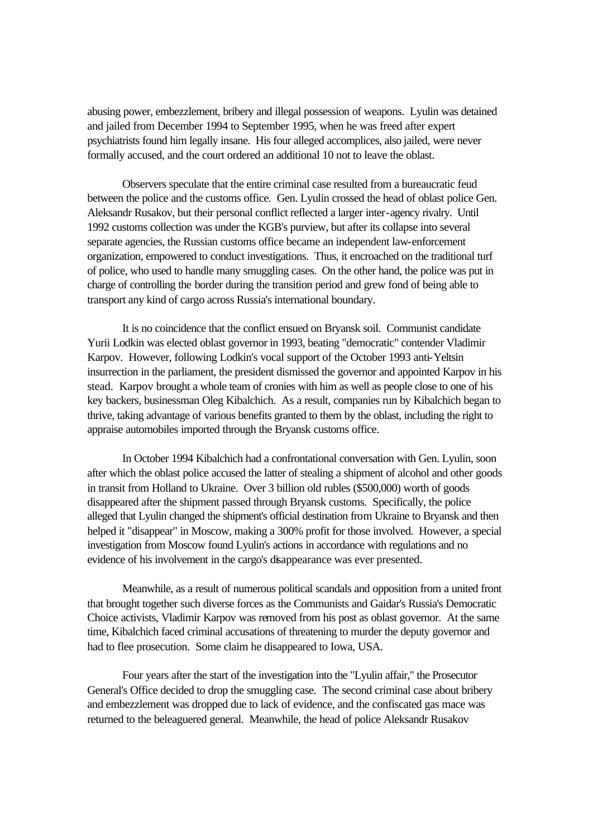abusing power, embezzlement, bribery and illegal possession of weapons. Lyulin was detained and jailed from December 1994 to September 1995, when he was freed after expert psychiatrists found him legally insane. His four alleged accomplices, also jailed, were never formally accused, and the court ordered an additional 10 not to leave the oblast.

Observers speculate that the entire criminal case resulted from a bureaucratic feud between the police and the customs office. Gen. Lyulin crossed the head of oblast police Gen. Aleksandr Rusakov, but their personal conflict reflected a larger inter-agency rivalry. Until 1992 customs collection was under the KGB's purview, but after its collapse into several separate agencies, the Russian customs office became an independent law-enforcement organization, empowered to conduct investigations. Thus, it encroached on the traditional turf of police, who used to handle many smuggling cases. On the other hand, the police was put in charge of controlling the border during the transition period and grew fond of being able to transport any kind of cargo across Russia's international boundary.

It is no coincidence that the conflict ensued on Bryansk soil. Communist candidate Yurii Lodkin was elected oblast governor in 1993, beating "democratic" contender Vladimir Karpov. However, following Lodkin's vocal support of the October 1993 anti-Yeltsin insurrection in the parliament, the president dismissed the governor and appointed Karpov in his stead. Karpov brought a whole team of cronies with him as well as people close to one of his key backers, businessman Oleg Kibalchich. As a result, companies run by Kibalchich began to thrive, taking advantage of various benefits granted to them by the oblast, including the right to appraise automobiles imported through the Bryansk customs office.

In October 1994 Kibalchich had a confrontational conversation with Gen. Lyulin, soon after which the oblast police accused the latter of stealing a shipment of alcohol and other goods in transit from Holland to Ukraine. Over 3 billion old rubles (\$500,000) worth of goods disappeared after the shipment passed through Bryansk customs. Specifically, the police alleged that Lyulin changed the shipment's official destination from Ukraine to Bryansk and then helped it "disappear" in Moscow, making a 300% profit for those involved. However, a special investigation from Moscow found Lyulin's actions in accordance with regulations and no evidence of his involvement in the cargo's disappearance was ever presented.

Meanwhile, as a result of numerous political scandals and opposition from a united front that brought together such diverse forces as the Communists and Gaidar's Russia's Democratic Choice activists, Vladimir Karpov was removed from his post as oblast governor. At the same time, Kibalchich faced criminal accusations of threatening to murder the deputy governor and had to flee prosecution. Some claim he disappeared to Iowa, USA.

Four years after the start of the investigation into the "Lyulin affair," the Prosecutor General's Office decided to drop the smuggling case. The second criminal case about bribery and embezzlement was dropped due to lack of evidence, and the confiscated gas mace was returned to the beleaguered general. Meanwhile, the head of police Aleksandr Rusakov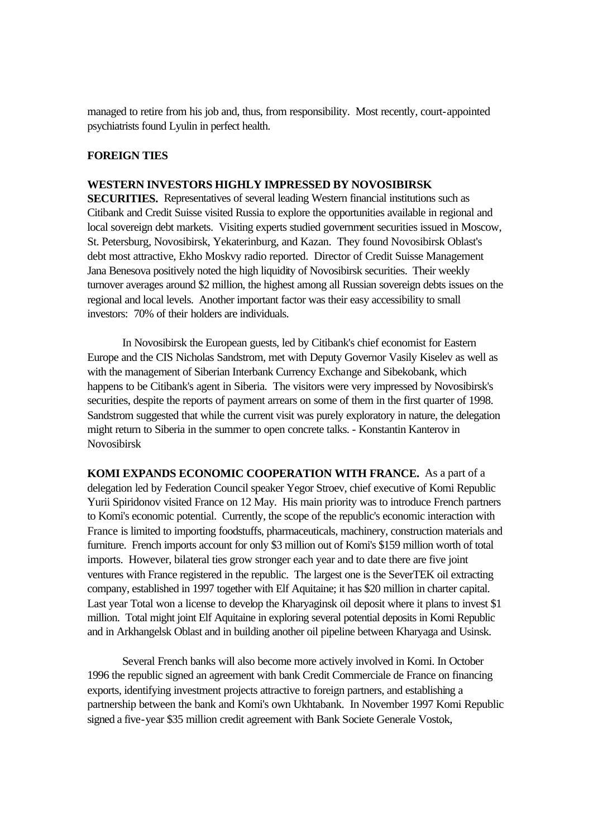managed to retire from his job and, thus, from responsibility. Most recently, court-appointed psychiatrists found Lyulin in perfect health.

### **FOREIGN TIES**

### **WESTERN INVESTORS HIGHLY IMPRESSED BY NOVOSIBIRSK**

**SECURITIES.** Representatives of several leading Western financial institutions such as Citibank and Credit Suisse visited Russia to explore the opportunities available in regional and local sovereign debt markets. Visiting experts studied government securities issued in Moscow, St. Petersburg, Novosibirsk, Yekaterinburg, and Kazan. They found Novosibirsk Oblast's debt most attractive, Ekho Moskvy radio reported. Director of Credit Suisse Management Jana Benesova positively noted the high liquidity of Novosibirsk securities. Their weekly turnover averages around \$2 million, the highest among all Russian sovereign debts issues on the regional and local levels. Another important factor was their easy accessibility to small investors: 70% of their holders are individuals.

In Novosibirsk the European guests, led by Citibank's chief economist for Eastern Europe and the CIS Nicholas Sandstrom, met with Deputy Governor Vasily Kiselev as well as with the management of Siberian Interbank Currency Exchange and Sibekobank, which happens to be Citibank's agent in Siberia. The visitors were very impressed by Novosibirsk's securities, despite the reports of payment arrears on some of them in the first quarter of 1998. Sandstrom suggested that while the current visit was purely exploratory in nature, the delegation might return to Siberia in the summer to open concrete talks. - Konstantin Kanterov in Novosibirsk

**KOMI EXPANDS ECONOMIC COOPERATION WITH FRANCE.** As a part of a delegation led by Federation Council speaker Yegor Stroev, chief executive of Komi Republic Yurii Spiridonov visited France on 12 May. His main priority was to introduce French partners to Komi's economic potential. Currently, the scope of the republic's economic interaction with France is limited to importing foodstuffs, pharmaceuticals, machinery, construction materials and furniture. French imports account for only \$3 million out of Komi's \$159 million worth of total imports. However, bilateral ties grow stronger each year and to date there are five joint ventures with France registered in the republic. The largest one is the SeverTEK oil extracting company, established in 1997 together with Elf Aquitaine; it has \$20 million in charter capital. Last year Total won a license to develop the Kharyaginsk oil deposit where it plans to invest \$1 million. Total might joint Elf Aquitaine in exploring several potential deposits in Komi Republic and in Arkhangelsk Oblast and in building another oil pipeline between Kharyaga and Usinsk.

Several French banks will also become more actively involved in Komi. In October 1996 the republic signed an agreement with bank Credit Commerciale de France on financing exports, identifying investment projects attractive to foreign partners, and establishing a partnership between the bank and Komi's own Ukhtabank. In November 1997 Komi Republic signed a five-year \$35 million credit agreement with Bank Societe Generale Vostok,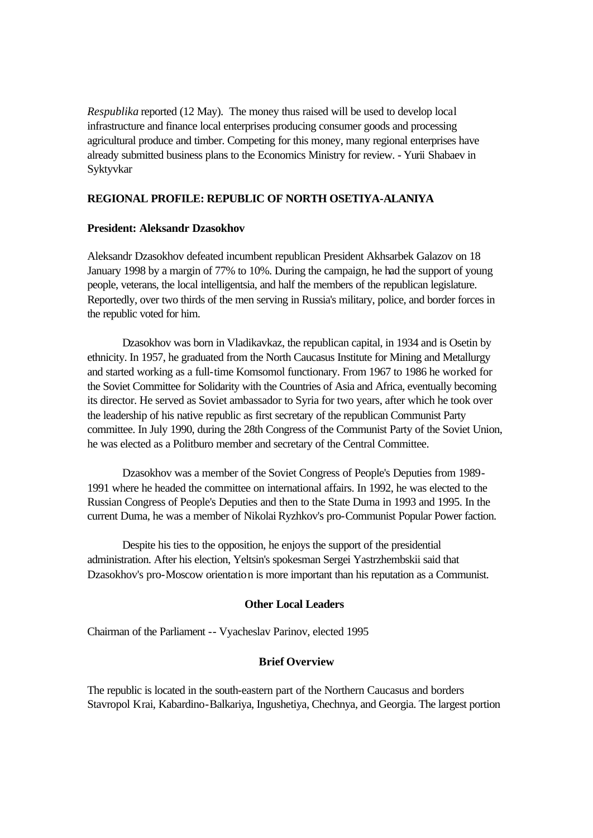*Respublika* reported (12 May). The money thus raised will be used to develop local infrastructure and finance local enterprises producing consumer goods and processing agricultural produce and timber. Competing for this money, many regional enterprises have already submitted business plans to the Economics Ministry for review. - Yurii Shabaev in Syktyvkar

### **REGIONAL PROFILE: REPUBLIC OF NORTH OSETIYA-ALANIYA**

### **President: Aleksandr Dzasokhov**

Aleksandr Dzasokhov defeated incumbent republican President Akhsarbek Galazov on 18 January 1998 by a margin of 77% to 10%. During the campaign, he had the support of young people, veterans, the local intelligentsia, and half the members of the republican legislature. Reportedly, over two thirds of the men serving in Russia's military, police, and border forces in the republic voted for him.

Dzasokhov was born in Vladikavkaz, the republican capital, in 1934 and is Osetin by ethnicity. In 1957, he graduated from the North Caucasus Institute for Mining and Metallurgy and started working as a full-time Komsomol functionary. From 1967 to 1986 he worked for the Soviet Committee for Solidarity with the Countries of Asia and Africa, eventually becoming its director. He served as Soviet ambassador to Syria for two years, after which he took over the leadership of his native republic as first secretary of the republican Communist Party committee. In July 1990, during the 28th Congress of the Communist Party of the Soviet Union, he was elected as a Politburo member and secretary of the Central Committee.

Dzasokhov was a member of the Soviet Congress of People's Deputies from 1989- 1991 where he headed the committee on international affairs. In 1992, he was elected to the Russian Congress of People's Deputies and then to the State Duma in 1993 and 1995. In the current Duma, he was a member of Nikolai Ryzhkov's pro-Communist Popular Power faction.

Despite his ties to the opposition, he enjoys the support of the presidential administration. After his election, Yeltsin's spokesman Sergei Yastrzhembskii said that Dzasokhov's pro-Moscow orientation is more important than his reputation as a Communist.

### **Other Local Leaders**

Chairman of the Parliament -- Vyacheslav Parinov, elected 1995

### **Brief Overview**

The republic is located in the south-eastern part of the Northern Caucasus and borders Stavropol Krai, Kabardino-Balkariya, Ingushetiya, Chechnya, and Georgia. The largest portion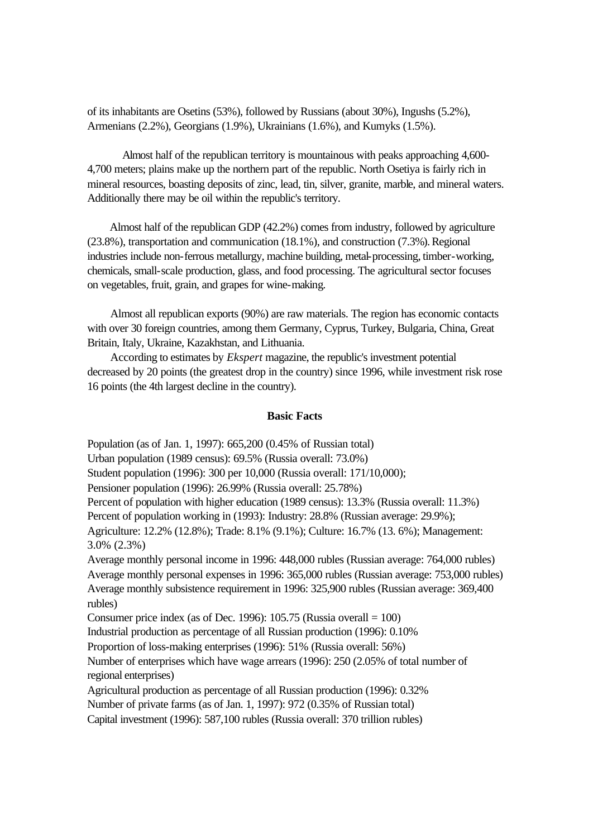of its inhabitants are Osetins (53%), followed by Russians (about 30%), Ingushs (5.2%), Armenians (2.2%), Georgians (1.9%), Ukrainians (1.6%), and Kumyks (1.5%).

Almost half of the republican territory is mountainous with peaks approaching 4,600- 4,700 meters; plains make up the northern part of the republic. North Osetiya is fairly rich in mineral resources, boasting deposits of zinc, lead, tin, silver, granite, marble, and mineral waters. Additionally there may be oil within the republic's territory.

 Almost half of the republican GDP (42.2%) comes from industry, followed by agriculture (23.8%), transportation and communication (18.1%), and construction (7.3%). Regional industries include non-ferrous metallurgy, machine building, metal-processing, timber-working, chemicals, small-scale production, glass, and food processing. The agricultural sector focuses on vegetables, fruit, grain, and grapes for wine-making.

 Almost all republican exports (90%) are raw materials. The region has economic contacts with over 30 foreign countries, among them Germany, Cyprus, Turkey, Bulgaria, China, Great Britain, Italy, Ukraine, Kazakhstan, and Lithuania.

 According to estimates by *Ekspert* magazine, the republic's investment potential decreased by 20 points (the greatest drop in the country) since 1996, while investment risk rose 16 points (the 4th largest decline in the country).

#### **Basic Facts**

Population (as of Jan. 1, 1997): 665,200 (0.45% of Russian total) Urban population (1989 census): 69.5% (Russia overall: 73.0%) Student population (1996): 300 per 10,000 (Russia overall: 171/10,000); Pensioner population (1996): 26.99% (Russia overall: 25.78%) Percent of population with higher education (1989 census): 13.3% (Russia overall: 11.3%) Percent of population working in (1993): Industry: 28.8% (Russian average: 29.9%); Agriculture: 12.2% (12.8%); Trade: 8.1% (9.1%); Culture: 16.7% (13. 6%); Management: 3.0% (2.3%) Average monthly personal income in 1996: 448,000 rubles (Russian average: 764,000 rubles) Average monthly personal expenses in 1996: 365,000 rubles (Russian average: 753,000 rubles) Average monthly subsistence requirement in 1996: 325,900 rubles (Russian average: 369,400 rubles) Consumer price index (as of Dec. 1996): 105.75 (Russia overall  $= 100$ ) Industrial production as percentage of all Russian production (1996): 0.10% Proportion of loss-making enterprises (1996): 51% (Russia overall: 56%) Number of enterprises which have wage arrears (1996): 250 (2.05% of total number of regional enterprises) Agricultural production as percentage of all Russian production (1996): 0.32% Number of private farms (as of Jan. 1, 1997): 972 (0.35% of Russian total) Capital investment (1996): 587,100 rubles (Russia overall: 370 trillion rubles)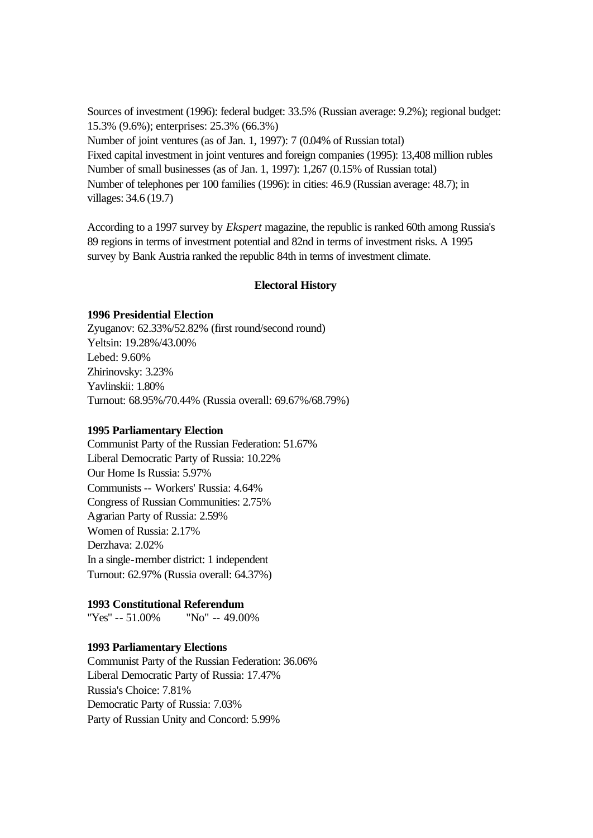Sources of investment (1996): federal budget: 33.5% (Russian average: 9.2%); regional budget: 15.3% (9.6%); enterprises: 25.3% (66.3%) Number of joint ventures (as of Jan. 1, 1997): 7 (0.04% of Russian total) Fixed capital investment in joint ventures and foreign companies (1995): 13,408 million rubles Number of small businesses (as of Jan. 1, 1997): 1,267 (0.15% of Russian total) Number of telephones per 100 families (1996): in cities: 46.9 (Russian average: 48.7); in villages: 34.6 (19.7)

According to a 1997 survey by *Ekspert* magazine, the republic is ranked 60th among Russia's 89 regions in terms of investment potential and 82nd in terms of investment risks. A 1995 survey by Bank Austria ranked the republic 84th in terms of investment climate.

### **Electoral History**

#### **1996 Presidential Election**

Zyuganov: 62.33%/52.82% (first round/second round) Yeltsin: 19.28%/43.00% Lebed: 9.60% Zhirinovsky: 3.23% Yavlinskii: 1.80% Turnout: 68.95%/70.44% (Russia overall: 69.67%/68.79%)

#### **1995 Parliamentary Election**

Communist Party of the Russian Federation: 51.67% Liberal Democratic Party of Russia: 10.22% Our Home Is Russia: 5.97% Communists -- Workers' Russia: 4.64% Congress of Russian Communities: 2.75% Agrarian Party of Russia: 2.59% Women of Russia: 2.17% Derzhava: 2.02% In a single-member district: 1 independent Turnout: 62.97% (Russia overall: 64.37%)

### **1993 Constitutional Referendum**

"Yes" -- 51.00% "No" -- 49.00%

### **1993 Parliamentary Elections**

Communist Party of the Russian Federation: 36.06% Liberal Democratic Party of Russia: 17.47% Russia's Choice: 7.81% Democratic Party of Russia: 7.03% Party of Russian Unity and Concord: 5.99%